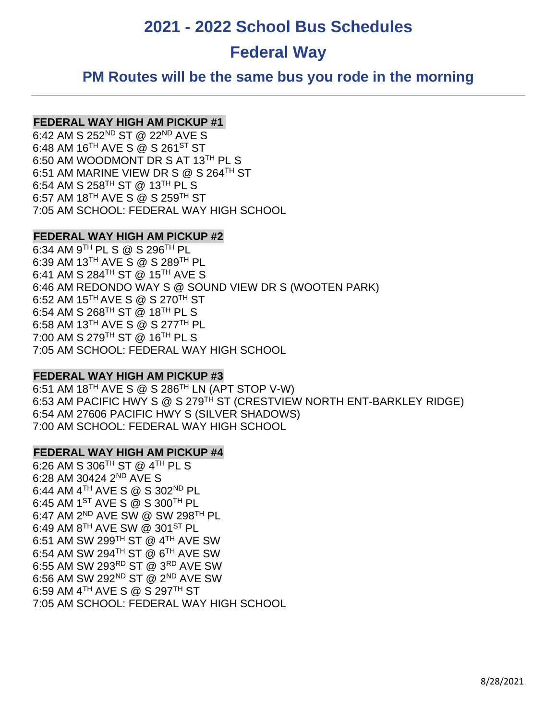# **2021 - 2022 School Bus Schedules**

# **Federal Way**

# **PM Routes will be the same bus you rode in the morning**

#### **FEDERAL WAY HIGH AM PICKUP #1**

6:42 AM S 252ND ST @ 22ND AVE S 6:48 AM 16TH AVE S @ S 261ST ST 6:50 AM WOODMONT DR S AT 13TH PL S 6:51 AM MARINE VIEW DR S @ S 264TH ST 6:54 AM S 258TH ST @ 13TH PL S 6:57 AM 18TH AVE S @ S 259TH ST 7:05 AM SCHOOL: FEDERAL WAY HIGH SCHOOL

# **FEDERAL WAY HIGH AM PICKUP #2**

6:34 AM 9TH PL S @ S 296TH PL 6:39 AM 13TH AVE S @ S 289TH PL 6:41 AM S 284TH ST @ 15TH AVE S 6:46 AM REDONDO WAY S @ SOUND VIEW DR S (WOOTEN PARK) 6:52 AM 15TH AVE S @ S 270TH ST 6:54 AM S 268TH ST @ 18TH PL S 6:58 AM 13TH AVE S @ S 277TH PL 7:00 AM S 279TH ST @ 16TH PL S 7:05 AM SCHOOL: FEDERAL WAY HIGH SCHOOL

# **FEDERAL WAY HIGH AM PICKUP #3**

6:51 AM 18TH AVE S @ S 286TH LN (APT STOP V-W) 6:53 AM PACIFIC HWY S @ S 279<sup>TH</sup> ST (CRESTVIEW NORTH ENT-BARKLEY RIDGE) 6:54 AM 27606 PACIFIC HWY S (SILVER SHADOWS) 7:00 AM SCHOOL: FEDERAL WAY HIGH SCHOOL

# **FEDERAL WAY HIGH AM PICKUP #4**

6:26 AM S 306TH ST @ 4TH PL S 6:28 AM 30424 2ND AVE S 6:44 AM 4TH AVE S @ S 302ND PL 6:45 AM 1ST AVE S @ S 300TH PL 6:47 AM 2ND AVE SW @ SW 298TH PL 6:49 AM 8<sup>th</sup> AVE SW @ 301<sup>st</sup> PL 6:51 AM SW 299TH ST @ 4TH AVE SW 6:54 AM SW 294<sup>TH</sup> ST @  $6^{TH}$  AVE SW 6:55 AM SW 293RD ST @ 3RD AVE SW 6:56 AM SW 292ND ST @ 2ND AVE SW 6:59 AM 4TH AVE S @ S 297TH ST 7:05 AM SCHOOL: FEDERAL WAY HIGH SCHOOL